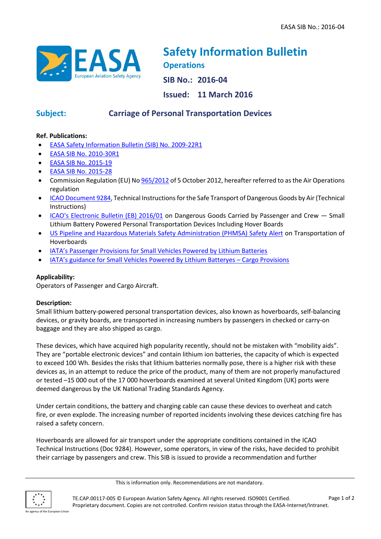

# **Safety Information Bulletin Operations**

**SIB No.: 2016-04**

**Issued: 11 March 2016**

## **Subject: Carriage of Personal Transportation Devices**

### **Ref. Publications:**

- [EASA Safety Information Bulletin \(SIB\)](http://ad.easa.europa.eu/ad/2009-22R1) No. 2009-22R1
- [EASA SIB No. 2010-30R1](http://ad.easa.europa.eu/ad/2010-30R1)
- [EASA SIB No. 2015-19](http://ad.easa.europa.eu/ad/2015-19)
- [EASA SIB No. 2015-28](http://ad.easa.europa.eu/ad/2015-28)
- Commission Regulation (EU) N[o 965/2012](http://eur-lex.europa.eu/legal-content/EN/TXT/?qid=1425371379500&uri=CELEX:32012R0965) of 5 October 2012, hereafter referred to as the Air Operations regulation
- [ICAO Document 9284,](http://www.icao.int/safety/DangerousGoods/Pages/technical-instructions.aspx) Technical Instructions for the Safe Transport of Dangerous Goods by Air(Technical Instructions)
- [ICAO's Electronic Bulletin \(EB\) 2016/01](http://www.icao.int/safety/DangerousGoods/Documents/eb001e.pdf) on Dangerous Goods Carried by Passenger and Crew Small Lithium Battery Powered Personal Transportation Devices Including Hover Boards
- [US Pipeline and Hazardous Materials Safety Administration \(PHMSA\) Safety Alert](http://www.phmsa.dot.gov/hazmat/safety-alert-transportation-of-hoverboards-lithium-battery-powered-vehicles) on Transportation of Hoverboards
- [IATA's Passenger Provisions for Small Vehicles Powered by Lithium Batteries](https://www.iata.org/whatwedo/cargo/dgr/Documents/small-lithium-battery-powered-vehicles.pdf)
- IATA's guidance for [Small Vehicles Powered By Lithium Batteryes](http://www.iata.org/whatwedo/cargo/dgr/Documents/lithium-battery-vehicles-cargo.pdf)  Cargo Provisions

### **Applicability:**

Operators of Passenger and Cargo Aircraft.

### **Description:**

Small lithium battery-powered personal transportation devices, also known as hoverboards, self-balancing devices, or gravity boards, are transported in increasing numbers by passengers in checked or carry-on baggage and they are also shipped as cargo.

These devices, which have acquired high popularity recently, should not be mistaken with "mobility aids". They are "portable electronic devices" and contain lithium ion batteries, the capacity of which is expected to exceed 100 Wh. Besides the risks that lithium batteries normally pose, there is a higher risk with these devices as, in an attempt to reduce the price of the product, many of them are not properly manufactured or tested –15 000 out of the 17 000 hoverboards examined at several United Kingdom (UK) ports were deemed dangerous by the UK National Trading Standards Agency.

Under certain conditions, the battery and charging cable can cause these devices to overheat and catch fire, or even explode. The increasing number of reported incidents involving these devices catching fire has raised a safety concern.

Hoverboards are allowed for air transport under the appropriate conditions contained in the ICAO Technical Instructions (Doc 9284). However, some operators, in view of the risks, have decided to prohibit their carriage by passengers and crew. This SIB is issued to provide a recommendation and further

This is information only. Recommendations are not mandatory.